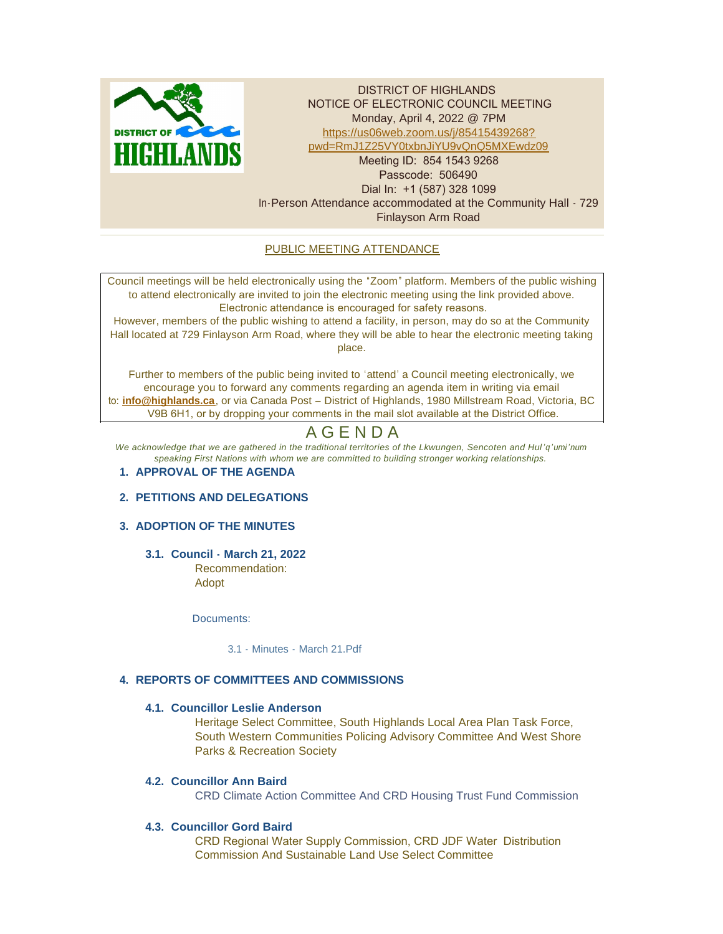

DISTRICT OF HIGHLANDS NOTICE OF ELECTRONIC COUNCIL MEETING Monday, April 4, 2022 @ 7PM https://us06web.zoom.us/j/85415439268? p[wd=RmJ1Z25VY0txbnJiYU9vQnQ5MXEwdz09](https://us06web.zoom.us/j/85415439268?pwd=RmJ1Z25VY0txbnJiYU9vQnQ5MXEwdz09) Meeting ID: 854 1543 9268 Passcode: 506490 Dial In: +1 (587) 328 1099 In-Person Attendance accommodated at the Community Hall - 729 Finlayson Arm Road

# PUBLIC MEETING ATTENDANCE

Council meetings will be held electronically using the "Zoom" platform. Members of the public wishing to attend electronically are invited to join the electronic meeting using the link provided above. Electronic attendance is encouraged for safety reasons.

However, members of the public wishing to attend a facility, in person, may do so at the Community Hall located at 729 Finlayson Arm Road, where they will be able to hear the electronic meeting taking place.

Further to members of the public being invited to 'attend' a Council meeting electronically, we encourage you to forward any comments regarding an agenda item in writing via email to: **[info@highlands.ca](mailto:info@highlands.ca)**, or via Canada Post – District of Highlands, 1980 Millstream Road, Victoria, BC V9B 6H1, or by dropping your comments in the mail slot available at the District Office.

# A G E N D A

*We acknowledge that we are gathered in the traditional territories of the Lkwungen, Sencoten and Hul 'q'umi'num speaking First Nations with whom we are committed to building stronger working relationships.*

# **APPROVAL OF THE AGENDA 1.**

# **PETITIONS AND DELEGATIONS 2.**

# **ADOPTION OF THE MINUTES 3.**

**Council - March 21, 2022 3.1.** Recommendation:

Adopt

Documents:

[3.1 - Minutes - March 21.Pdf](https://www.highlands.ca/AgendaCenter/ViewFile/Item/7042?fileID=6702)

# **REPORTS OF COMMITTEES AND COMMISSIONS 4.**

# **Councillor Leslie Anderson 4.1.**

Heritage Select Committee, South Highlands Local Area Plan Task Force, South Western Communities Policing Advisory Committee And West Shore Parks & Recreation Society

# **Councillor Ann Baird 4.2.**

CRD Climate Action Committee And CRD Housing Trust Fund Commission

# **Councillor Gord Baird 4.3.**

CRD Regional Water Supply Commission, CRD JDF Water Distribution Commission And Sustainable Land Use Select Committee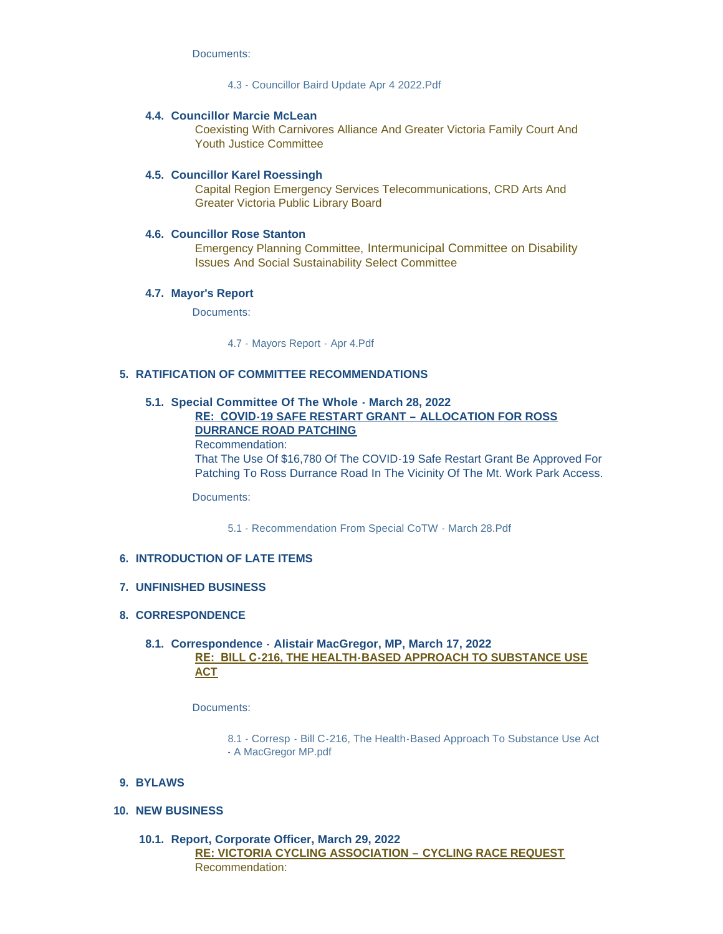Documents:

[4.3 - Councillor Baird Update Apr 4 2022.Pdf](https://www.highlands.ca/AgendaCenter/ViewFile/Item/7026?fileID=6694)

#### **Councillor Marcie McLean 4.4.**

Coexisting With Carnivores Alliance And Greater Victoria Family Court And Youth Justice Committee

#### **Councillor Karel Roessingh 4.5.**

Capital Region Emergency Services Telecommunications, CRD Arts And Greater Victoria Public Library Board

#### **4.6. Councillor Rose Stanton**

Emergency Planning Committee, Intermunicipal Committee on Disability Issues And Social Sustainability Select Committee

#### **Mayor's Report 4.7.**

Documents:

[4.7 - Mayors Report - Apr 4.Pdf](https://www.highlands.ca/AgendaCenter/ViewFile/Item/7030?fileID=6695)

#### **RATIFICATION OF COMMITTEE RECOMMENDATIONS 5.**

#### **Special Committee Of The Whole - March 28, 2022 5.1. RE: COVID-19 SAFE RESTART GRANT – ALLOCATION FOR ROSS DURRANCE ROAD PATCHING**

Recommendation: That The Use Of \$16,780 Of The COVID-19 Safe Restart Grant Be Approved For Patching To Ross Durrance Road In The Vicinity Of The Mt. Work Park Access.

Documents:

5.1 - [Recommendation From Special CoTW -](https://www.highlands.ca/AgendaCenter/ViewFile/Item/7043?fileID=6696) March 28.Pdf

#### **INTRODUCTION OF LATE ITEMS 6.**

#### **UNFINISHED BUSINESS 7.**

### **CORRESPONDENCE 8.**

# **Correspondence - Alistair MacGregor, MP, March 17, 2022 8.1. RE: BILL C-216, THE HEALTH-BASED APPROACH TO SUBSTANCE USE ACT**

Documents:

8.1 - Corresp - [Bill C-216, The Health-Based Approach To Substance Use Act](https://www.highlands.ca/AgendaCenter/ViewFile/Item/7044?fileID=6697)  - A MacGregor MP.pdf

#### **BYLAWS 9.**

**NEW BUSINESS 10.**

**Report, Corporate Officer, March 29, 2022 10.1. RE: VICTORIA CYCLING ASSOCIATION – CYCLING RACE REQUEST** Recommendation: